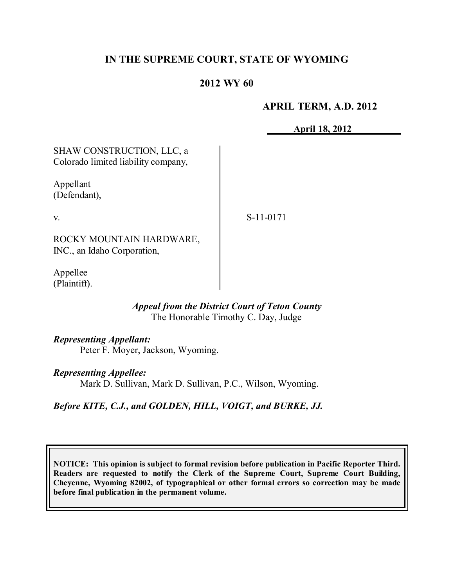# **IN THE SUPREME COURT, STATE OF WYOMING**

## **2012 WY 60**

## **APRIL TERM, A.D. 2012**

**April 18, 2012**

SHAW CONSTRUCTION, LLC, a Colorado limited liability company, Appellant

(Defendant),

v.

S-11-0171

ROCKY MOUNTAIN HARDWARE, INC., an Idaho Corporation,

Appellee (Plaintiff).

#### *Appeal from the District Court of Teton County* The Honorable Timothy C. Day, Judge

*Representing Appellant:*

Peter F. Moyer, Jackson, Wyoming.

## *Representing Appellee:*

Mark D. Sullivan, Mark D. Sullivan, P.C., Wilson, Wyoming.

## *Before KITE, C.J., and GOLDEN, HILL, VOIGT, and BURKE, JJ.*

**NOTICE: This opinion is subject to formal revision before publication in Pacific Reporter Third. Readers are requested to notify the Clerk of the Supreme Court, Supreme Court Building, Cheyenne, Wyoming 82002, of typographical or other formal errors so correction may be made before final publication in the permanent volume.**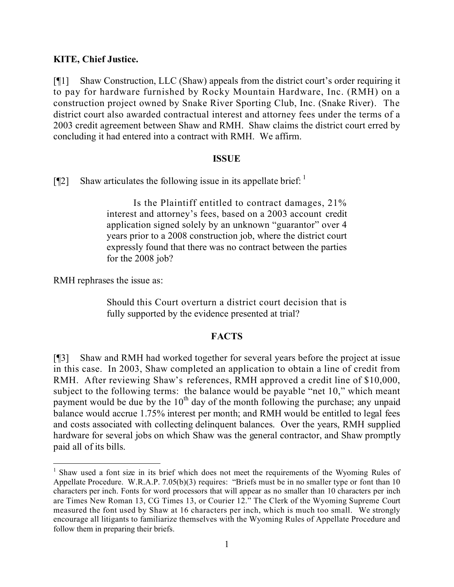## **KITE, Chief Justice.**

[¶1] Shaw Construction, LLC (Shaw) appeals from the district court's order requiring it to pay for hardware furnished by Rocky Mountain Hardware, Inc. (RMH) on a construction project owned by Snake River Sporting Club, Inc. (Snake River). The district court also awarded contractual interest and attorney fees under the terms of a 2003 credit agreement between Shaw and RMH. Shaw claims the district court erred by concluding it had entered into a contract with RMH. We affirm.

#### **ISSUE**

[ $[$ [2] Shaw articulates the following issue in its appellate brief:  $\frac{1}{2}$ ]

Is the Plaintiff entitled to contract damages, 21% interest and attorney's fees, based on a 2003 account credit application signed solely by an unknown "guarantor" over 4 years prior to a 2008 construction job, where the district court expressly found that there was no contract between the parties for the 2008 job?

RMH rephrases the issue as:

 $\overline{a}$ 

Should this Court overturn a district court decision that is fully supported by the evidence presented at trial?

## **FACTS**

[¶3] Shaw and RMH had worked together for several years before the project at issue in this case. In 2003, Shaw completed an application to obtain a line of credit from RMH. After reviewing Shaw's references, RMH approved a credit line of \$10,000, subject to the following terms: the balance would be payable "net 10," which meant payment would be due by the  $10<sup>th</sup>$  day of the month following the purchase; any unpaid balance would accrue 1.75% interest per month; and RMH would be entitled to legal fees and costs associated with collecting delinquent balances. Over the years, RMH supplied hardware for several jobs on which Shaw was the general contractor, and Shaw promptly paid all of its bills.

<sup>&</sup>lt;sup>1</sup> Shaw used a font size in its brief which does not meet the requirements of the Wyoming Rules of Appellate Procedure. W.R.A.P. 7.05(b)(3) requires: "Briefs must be in no smaller type or font than 10 characters per inch. Fonts for word processors that will appear as no smaller than 10 characters per inch are Times New Roman 13, CG Times 13, or Courier 12." The Clerk of the Wyoming Supreme Court measured the font used by Shaw at 16 characters per inch, which is much too small. We strongly encourage all litigants to familiarize themselves with the Wyoming Rules of Appellate Procedure and follow them in preparing their briefs.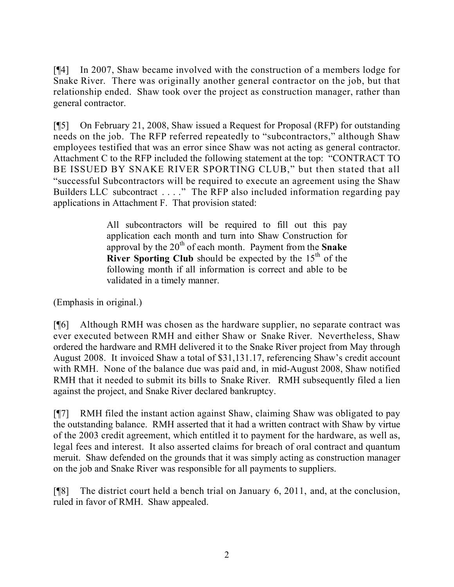[¶4] In 2007, Shaw became involved with the construction of a members lodge for Snake River. There was originally another general contractor on the job, but that relationship ended. Shaw took over the project as construction manager, rather than general contractor.

[¶5] On February 21, 2008, Shaw issued a Request for Proposal (RFP) for outstanding needs on the job. The RFP referred repeatedly to "subcontractors," although Shaw employees testified that was an error since Shaw was not acting as general contractor. Attachment C to the RFP included the following statement at the top: "CONTRACT TO BE ISSUED BY SNAKE RIVER SPORTING CLUB," but then stated that all "successful Subcontractors will be required to execute an agreement using the Shaw Builders LLC subcontract . . . ." The RFP also included information regarding pay applications in Attachment F. That provision stated:

> All subcontractors will be required to fill out this pay application each month and turn into Shaw Construction for approval by the 20<sup>th</sup> of each month. Payment from the **Snake River Sporting Club** should be expected by the 15<sup>th</sup> of the following month if all information is correct and able to be validated in a timely manner.

(Emphasis in original.)

[¶6] Although RMH was chosen as the hardware supplier, no separate contract was ever executed between RMH and either Shaw or Snake River. Nevertheless, Shaw ordered the hardware and RMH delivered it to the Snake River project from May through August 2008. It invoiced Shaw a total of \$31,131.17, referencing Shaw's credit account with RMH. None of the balance due was paid and, in mid-August 2008, Shaw notified RMH that it needed to submit its bills to Snake River. RMH subsequently filed a lien against the project, and Snake River declared bankruptcy.

[¶7] RMH filed the instant action against Shaw, claiming Shaw was obligated to pay the outstanding balance. RMH asserted that it had a written contract with Shaw by virtue of the 2003 credit agreement, which entitled it to payment for the hardware, as well as, legal fees and interest. It also asserted claims for breach of oral contract and quantum meruit. Shaw defended on the grounds that it was simply acting as construction manager on the job and Snake River was responsible for all payments to suppliers.

[¶8] The district court held a bench trial on January 6, 2011, and, at the conclusion, ruled in favor of RMH. Shaw appealed.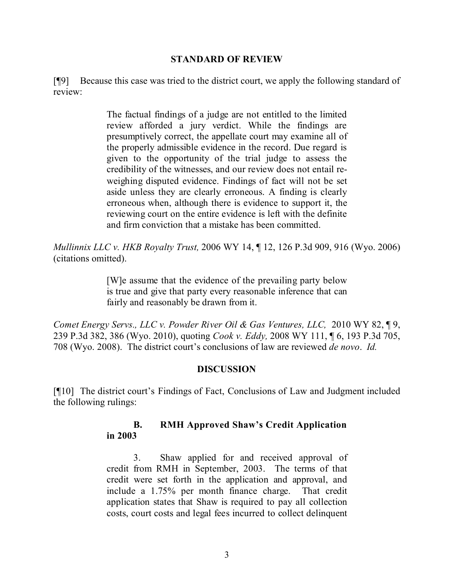#### **STANDARD OF REVIEW**

[¶9] Because this case was tried to the district court, we apply the following standard of review:

> The factual findings of a judge are not entitled to the limited review afforded a jury verdict. While the findings are presumptively correct, the appellate court may examine all of the properly admissible evidence in the record. Due regard is given to the opportunity of the trial judge to assess the credibility of the witnesses, and our review does not entail reweighing disputed evidence. Findings of fact will not be set aside unless they are clearly erroneous. A finding is clearly erroneous when, although there is evidence to support it, the reviewing court on the entire evidence is left with the definite and firm conviction that a mistake has been committed.

*Mullinnix LLC v. HKB Royalty Trust,* 2006 WY 14, ¶ 12, 126 P.3d 909, 916 (Wyo. 2006) (citations omitted).

> [W]e assume that the evidence of the prevailing party below is true and give that party every reasonable inference that can fairly and reasonably be drawn from it.

*Comet Energy Servs., LLC v. Powder River Oil & Gas Ventures, LLC,* 2010 WY 82, ¶ 9, 239 P.3d 382, 386 (Wyo. 2010), quoting *Cook v. Eddy,* 2008 WY 111, ¶ 6, 193 P.3d 705, 708 (Wyo. 2008). The district court's conclusions of law are reviewed *de novo*. *Id.* 

## **DISCUSSION**

[¶10] The district court's Findings of Fact, Conclusions of Law and Judgment included the following rulings:

## **B. RMH Approved Shaw's Credit Application in 2003**

3. Shaw applied for and received approval of credit from RMH in September, 2003. The terms of that credit were set forth in the application and approval, and include a 1.75% per month finance charge. That credit application states that Shaw is required to pay all collection costs, court costs and legal fees incurred to collect delinquent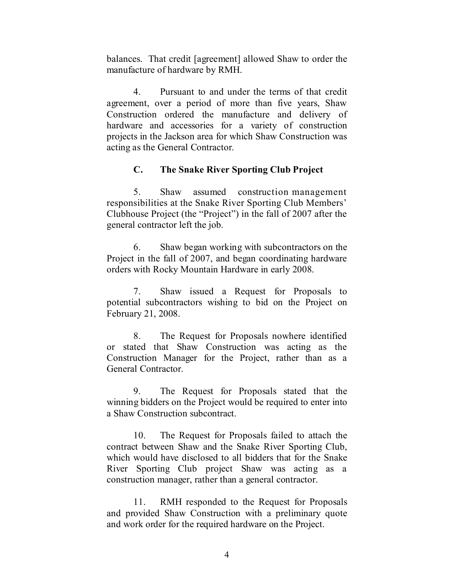balances. That credit [agreement] allowed Shaw to order the manufacture of hardware by RMH.

4. Pursuant to and under the terms of that credit agreement, over a period of more than five years, Shaw Construction ordered the manufacture and delivery of hardware and accessories for a variety of construction projects in the Jackson area for which Shaw Construction was acting as the General Contractor.

## **C. The Snake River Sporting Club Project**

5. Shaw assumed construction management responsibilities at the Snake River Sporting Club Members' Clubhouse Project (the "Project") in the fall of 2007 after the general contractor left the job.

6. Shaw began working with subcontractors on the Project in the fall of 2007, and began coordinating hardware orders with Rocky Mountain Hardware in early 2008.

7. Shaw issued a Request for Proposals to potential subcontractors wishing to bid on the Project on February 21, 2008.

8. The Request for Proposals nowhere identified or stated that Shaw Construction was acting as the Construction Manager for the Project, rather than as a General Contractor.

9. The Request for Proposals stated that the winning bidders on the Project would be required to enter into a Shaw Construction subcontract.

10. The Request for Proposals failed to attach the contract between Shaw and the Snake River Sporting Club, which would have disclosed to all bidders that for the Snake River Sporting Club project Shaw was acting as a construction manager, rather than a general contractor.

11. RMH responded to the Request for Proposals and provided Shaw Construction with a preliminary quote and work order for the required hardware on the Project.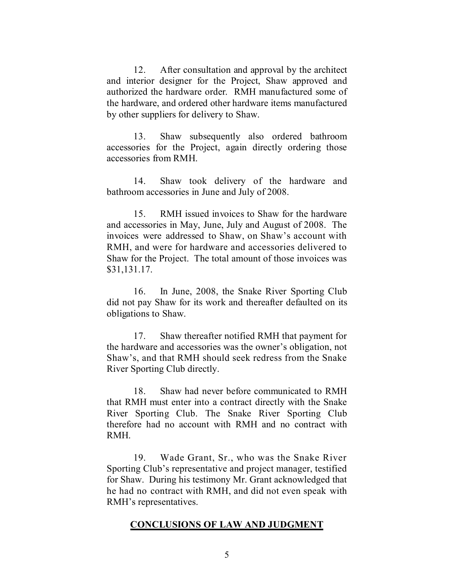12. After consultation and approval by the architect and interior designer for the Project, Shaw approved and authorized the hardware order. RMH manufactured some of the hardware, and ordered other hardware items manufactured by other suppliers for delivery to Shaw.

13. Shaw subsequently also ordered bathroom accessories for the Project, again directly ordering those accessories from RMH.

14. Shaw took delivery of the hardware and bathroom accessories in June and July of 2008.

15. RMH issued invoices to Shaw for the hardware and accessories in May, June, July and August of 2008. The invoices were addressed to Shaw, on Shaw's account with RMH, and were for hardware and accessories delivered to Shaw for the Project. The total amount of those invoices was \$31,131.17.

16. In June, 2008, the Snake River Sporting Club did not pay Shaw for its work and thereafter defaulted on its obligations to Shaw.

17. Shaw thereafter notified RMH that payment for the hardware and accessories was the owner's obligation, not Shaw's, and that RMH should seek redress from the Snake River Sporting Club directly.

18. Shaw had never before communicated to RMH that RMH must enter into a contract directly with the Snake River Sporting Club. The Snake River Sporting Club therefore had no account with RMH and no contract with RMH.

19. Wade Grant, Sr., who was the Snake River Sporting Club's representative and project manager, testified for Shaw. During his testimony Mr. Grant acknowledged that he had no contract with RMH, and did not even speak with RMH's representatives.

## **CONCLUSIONS OF LAW AND JUDGMENT**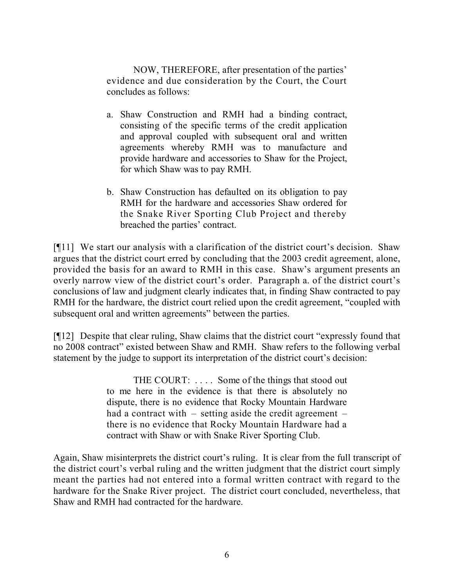NOW, THEREFORE, after presentation of the parties' evidence and due consideration by the Court, the Court concludes as follows:

- a. Shaw Construction and RMH had a binding contract, consisting of the specific terms of the credit application and approval coupled with subsequent oral and written agreements whereby RMH was to manufacture and provide hardware and accessories to Shaw for the Project, for which Shaw was to pay RMH.
- b. Shaw Construction has defaulted on its obligation to pay RMH for the hardware and accessories Shaw ordered for the Snake River Sporting Club Project and thereby breached the parties' contract.

[¶11] We start our analysis with a clarification of the district court's decision. Shaw argues that the district court erred by concluding that the 2003 credit agreement, alone, provided the basis for an award to RMH in this case. Shaw's argument presents an overly narrow view of the district court's order. Paragraph a. of the district court's conclusions of law and judgment clearly indicates that, in finding Shaw contracted to pay RMH for the hardware, the district court relied upon the credit agreement, "coupled with subsequent oral and written agreements" between the parties.

[¶12] Despite that clear ruling, Shaw claims that the district court "expressly found that no 2008 contract" existed between Shaw and RMH. Shaw refers to the following verbal statement by the judge to support its interpretation of the district court's decision:

> THE COURT: . . . . Some of the things that stood out to me here in the evidence is that there is absolutely no dispute, there is no evidence that Rocky Mountain Hardware had a contract with – setting aside the credit agreement – there is no evidence that Rocky Mountain Hardware had a contract with Shaw or with Snake River Sporting Club.

Again, Shaw misinterprets the district court's ruling. It is clear from the full transcript of the district court's verbal ruling and the written judgment that the district court simply meant the parties had not entered into a formal written contract with regard to the hardware for the Snake River project. The district court concluded, nevertheless, that Shaw and RMH had contracted for the hardware.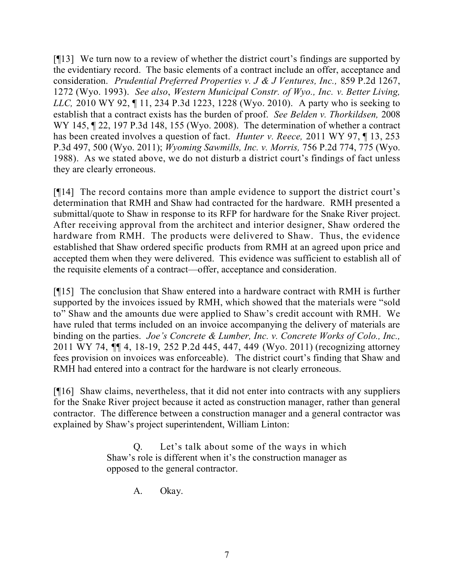[¶13] We turn now to a review of whether the district court's findings are supported by the evidentiary record. The basic elements of a contract include an offer, acceptance and consideration. *Prudential Preferred Properties v. J & J Ventures, Inc.,* 859 P.2d 1267, 1272 (Wyo. 1993). *See also*, *Western Municipal Constr. of Wyo., Inc. v. Better Living, LLC,* 2010 WY 92, ¶ 11, 234 P.3d 1223, 1228 (Wyo. 2010). A party who is seeking to establish that a contract exists has the burden of proof. *See Belden v. Thorkildsen,* 2008 WY 145, 122, 197 P.3d 148, 155 (Wyo. 2008). The determination of whether a contract has been created involves a question of fact. *Hunter v. Reece,* 2011 WY 97, ¶ 13, 253 P.3d 497, 500 (Wyo. 2011); *Wyoming Sawmills, Inc. v. Morris,* 756 P.2d 774, 775 (Wyo. 1988). As we stated above, we do not disturb a district court's findings of fact unless they are clearly erroneous.

[¶14] The record contains more than ample evidence to support the district court's determination that RMH and Shaw had contracted for the hardware. RMH presented a submittal/quote to Shaw in response to its RFP for hardware for the Snake River project. After receiving approval from the architect and interior designer, Shaw ordered the hardware from RMH. The products were delivered to Shaw. Thus, the evidence established that Shaw ordered specific products from RMH at an agreed upon price and accepted them when they were delivered. This evidence was sufficient to establish all of the requisite elements of a contract—offer, acceptance and consideration.

[¶15] The conclusion that Shaw entered into a hardware contract with RMH is further supported by the invoices issued by RMH, which showed that the materials were "sold to" Shaw and the amounts due were applied to Shaw's credit account with RMH. We have ruled that terms included on an invoice accompanying the delivery of materials are binding on the parties. *Joe's Concrete & Lumber, Inc. v. Concrete Works of Colo., Inc.,*  2011 WY 74, ¶¶ 4, 18-19, 252 P.2d 445, 447, 449 (Wyo. 2011) (recognizing attorney fees provision on invoices was enforceable). The district court's finding that Shaw and RMH had entered into a contract for the hardware is not clearly erroneous.

[¶16] Shaw claims, nevertheless, that it did not enter into contracts with any suppliers for the Snake River project because it acted as construction manager, rather than general contractor. The difference between a construction manager and a general contractor was explained by Shaw's project superintendent, William Linton:

> Q. Let's talk about some of the ways in which Shaw's role is different when it's the construction manager as opposed to the general contractor.

> > A. Okay.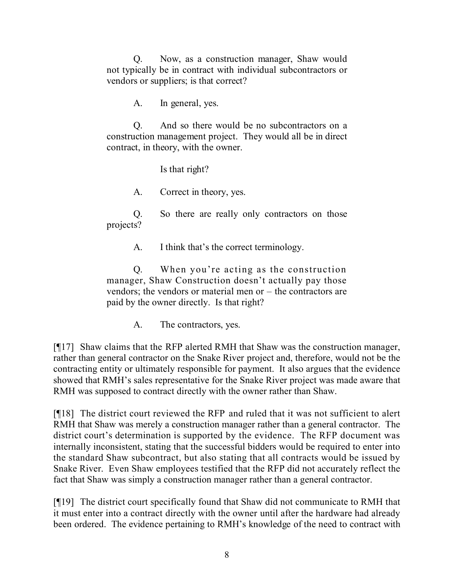Q. Now, as a construction manager, Shaw would not typically be in contract with individual subcontractors or vendors or suppliers; is that correct?

A. In general, yes.

Q. And so there would be no subcontractors on a construction management project. They would all be in direct contract, in theory, with the owner.

Is that right?

A. Correct in theory, yes.

Q. So there are really only contractors on those projects?

A. I think that's the correct terminology.

Q. When you're acting as the construction manager, Shaw Construction doesn't actually pay those vendors; the vendors or material men or – the contractors are paid by the owner directly. Is that right?

A. The contractors, yes.

[¶17] Shaw claims that the RFP alerted RMH that Shaw was the construction manager, rather than general contractor on the Snake River project and, therefore, would not be the contracting entity or ultimately responsible for payment. It also argues that the evidence showed that RMH's sales representative for the Snake River project was made aware that RMH was supposed to contract directly with the owner rather than Shaw.

[¶18] The district court reviewed the RFP and ruled that it was not sufficient to alert RMH that Shaw was merely a construction manager rather than a general contractor. The district court's determination is supported by the evidence. The RFP document was internally inconsistent, stating that the successful bidders would be required to enter into the standard Shaw subcontract, but also stating that all contracts would be issued by Snake River. Even Shaw employees testified that the RFP did not accurately reflect the fact that Shaw was simply a construction manager rather than a general contractor.

[¶19] The district court specifically found that Shaw did not communicate to RMH that it must enter into a contract directly with the owner until after the hardware had already been ordered. The evidence pertaining to RMH's knowledge of the need to contract with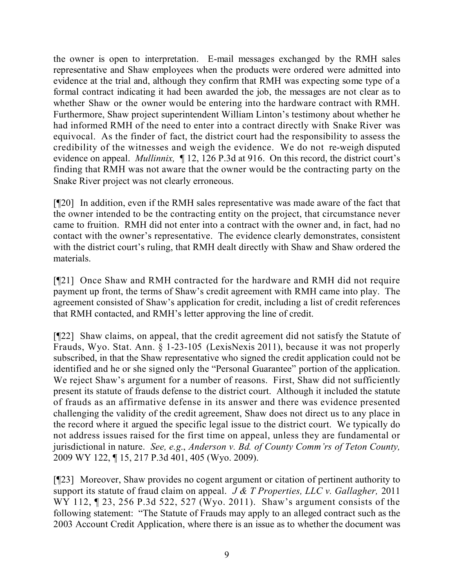the owner is open to interpretation. E-mail messages exchanged by the RMH sales representative and Shaw employees when the products were ordered were admitted into evidence at the trial and, although they confirm that RMH was expecting some type of a formal contract indicating it had been awarded the job, the messages are not clear as to whether Shaw or the owner would be entering into the hardware contract with RMH. Furthermore, Shaw project superintendent William Linton's testimony about whether he had informed RMH of the need to enter into a contract directly with Snake River was equivocal. As the finder of fact, the district court had the responsibility to assess the credibility of the witnesses and weigh the evidence. We do not re-weigh disputed evidence on appeal. *Mullinnix,* ¶ 12, 126 P.3d at 916. On this record, the district court's finding that RMH was not aware that the owner would be the contracting party on the Snake River project was not clearly erroneous.

[¶20] In addition, even if the RMH sales representative was made aware of the fact that the owner intended to be the contracting entity on the project, that circumstance never came to fruition. RMH did not enter into a contract with the owner and, in fact, had no contact with the owner's representative. The evidence clearly demonstrates, consistent with the district court's ruling, that RMH dealt directly with Shaw and Shaw ordered the materials.

[¶21] Once Shaw and RMH contracted for the hardware and RMH did not require payment up front, the terms of Shaw's credit agreement with RMH came into play. The agreement consisted of Shaw's application for credit, including a list of credit references that RMH contacted, and RMH's letter approving the line of credit.

[¶22] Shaw claims, on appeal, that the credit agreement did not satisfy the Statute of Frauds, Wyo. Stat. Ann. § 1-23-105 (LexisNexis 2011), because it was not properly subscribed, in that the Shaw representative who signed the credit application could not be identified and he or she signed only the "Personal Guarantee" portion of the application. We reject Shaw's argument for a number of reasons. First, Shaw did not sufficiently present its statute of frauds defense to the district court. Although it included the statute of frauds as an affirmative defense in its answer and there was evidence presented challenging the validity of the credit agreement, Shaw does not direct us to any place in the record where it argued the specific legal issue to the district court. We typically do not address issues raised for the first time on appeal, unless they are fundamental or jurisdictional in nature. *See, e.g*., *Anderson v. Bd. of County Comm'rs of Teton County,*  2009 WY 122, ¶ 15, 217 P.3d 401, 405 (Wyo. 2009).

[¶23] Moreover, Shaw provides no cogent argument or citation of pertinent authority to support its statute of fraud claim on appeal. *J & T Properties, LLC v. Gallagher,* 2011 WY 112, 123, 256 P.3d 522, 527 (Wyo. 2011). Shaw's argument consists of the following statement: "The Statute of Frauds may apply to an alleged contract such as the 2003 Account Credit Application, where there is an issue as to whether the document was